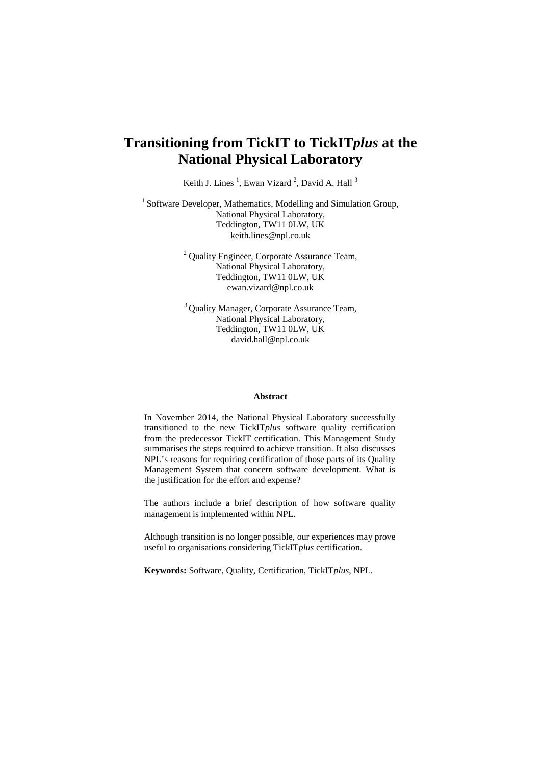# **Transitioning from TickIT to TickIT***plus* **at the National Physical Laboratory**

Keith J. Lines<sup>1</sup>, Ewan Vizard<sup>2</sup>, David A. Hall<sup>3</sup>

<sup>1</sup> Software Developer, Mathematics, Modelling and Simulation Group, National Physical Laboratory, Teddington, TW11 0LW, UK keith.lines@npl.co.uk

> <sup>2</sup> Quality Engineer, Corporate Assurance Team, National Physical Laboratory, Teddington, TW11 0LW, UK ewan.vizard@npl.co.uk

> 3 Quality Manager, Corporate Assurance Team, National Physical Laboratory, Teddington, TW11 0LW, UK david.hall@npl.co.uk

#### **Abstract**

In November 2014, the National Physical Laboratory successfully transitioned to the new TickIT*plus* software quality certification from the predecessor TickIT certification. This Management Study summarises the steps required to achieve transition. It also discusses NPL's reasons for requiring certification of those parts of its Quality Management System that concern software development. What is the justification for the effort and expense?

The authors include a brief description of how software quality management is implemented within NPL.

Although transition is no longer possible, our experiences may prove useful to organisations considering TickIT*plus* certification.

**Keywords:** Software, Quality, Certification, TickIT*plus*, NPL.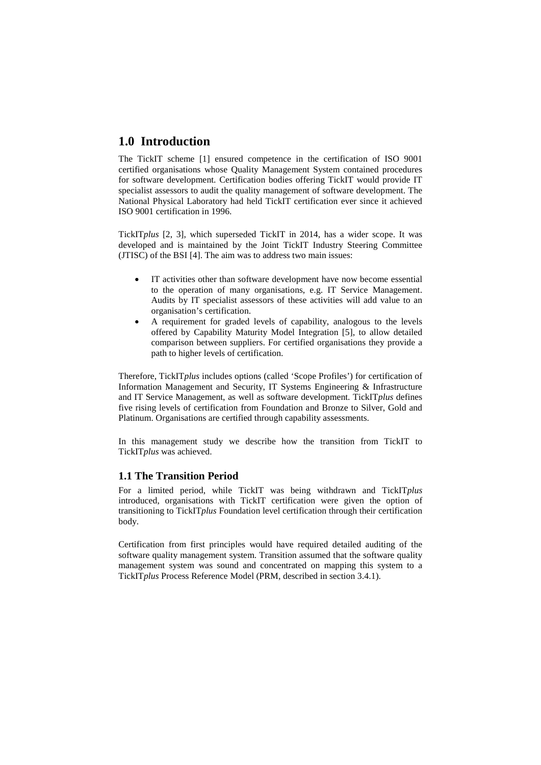## **1.0 Introduction**

The TickIT scheme [1] ensured competence in the certification of ISO 9001 certified organisations whose Quality Management System contained procedures for software development. Certification bodies offering TickIT would provide IT specialist assessors to audit the quality management of software development. The National Physical Laboratory had held TickIT certification ever since it achieved ISO 9001 certification in 1996.

TickIT*plus* [2, 3], which superseded TickIT in 2014, has a wider scope. It was developed and is maintained by the Joint TickIT Industry Steering Committee (JTISC) of the BSI [4]. The aim was to address two main issues:

- IT activities other than software development have now become essential to the operation of many organisations, e.g. IT Service Management. Audits by IT specialist assessors of these activities will add value to an organisation's certification.
- A requirement for graded levels of capability, analogous to the levels offered by Capability Maturity Model Integration [5], to allow detailed comparison between suppliers. For certified organisations they provide a path to higher levels of certification.

Therefore, TickIT*plus* includes options (called 'Scope Profiles') for certification of Information Management and Security, IT Systems Engineering & Infrastructure and IT Service Management, as well as software development. TickIT*plus* defines five rising levels of certification from Foundation and Bronze to Silver, Gold and Platinum. Organisations are certified through capability assessments.

In this management study we describe how the transition from TickIT to TickIT*plus* was achieved.

#### **1.1 The Transition Period**

For a limited period, while TickIT was being withdrawn and TickIT*plus*  introduced, organisations with TickIT certification were given the option of transitioning to TickIT*plus* Foundation level certification through their certification body.

Certification from first principles would have required detailed auditing of the software quality management system. Transition assumed that the software quality management system was sound and concentrated on mapping this system to a TickIT*plus* Process Reference Model (PRM, described in section 3.4.1).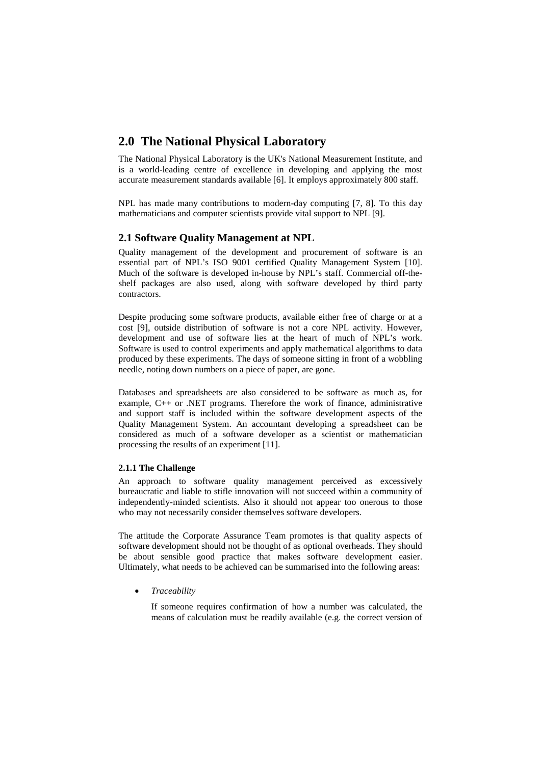### **2.0 The National Physical Laboratory**

The National Physical Laboratory is the UK's National Measurement Institute, and is a world-leading centre of excellence in developing and applying the most accurate measurement standards available [6]. It employs approximately 800 staff.

NPL has made many contributions to modern-day computing [7, 8]. To this day mathematicians and computer scientists provide vital support to NPL [9].

### **2.1 Software Quality Management at NPL**

Quality management of the development and procurement of software is an essential part of NPL's ISO 9001 certified Quality Management System [10]. Much of the software is developed in-house by NPL's staff. Commercial off-theshelf packages are also used, along with software developed by third party contractors.

Despite producing some software products, available either free of charge or at a cost [9], outside distribution of software is not a core NPL activity. However, development and use of software lies at the heart of much of NPL's work. Software is used to control experiments and apply mathematical algorithms to data produced by these experiments. The days of someone sitting in front of a wobbling needle, noting down numbers on a piece of paper, are gone.

Databases and spreadsheets are also considered to be software as much as, for example, C++ or .NET programs. Therefore the work of finance, administrative and support staff is included within the software development aspects of the Quality Management System. An accountant developing a spreadsheet can be considered as much of a software developer as a scientist or mathematician processing the results of an experiment [11].

#### **2.1.1 The Challenge**

An approach to software quality management perceived as excessively bureaucratic and liable to stifle innovation will not succeed within a community of independently-minded scientists. Also it should not appear too onerous to those who may not necessarily consider themselves software developers.

The attitude the Corporate Assurance Team promotes is that quality aspects of software development should not be thought of as optional overheads. They should be about sensible good practice that makes software development easier. Ultimately, what needs to be achieved can be summarised into the following areas:

• *Traceability*

If someone requires confirmation of how a number was calculated, the means of calculation must be readily available (e.g. the correct version of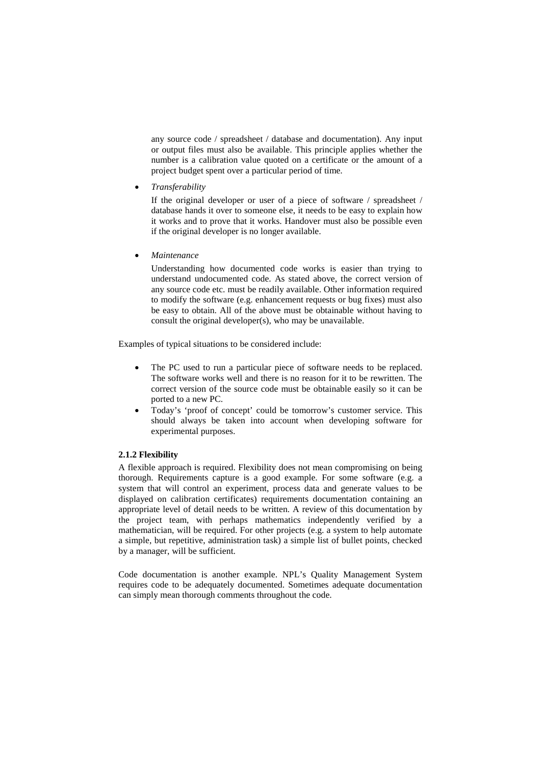any source code / spreadsheet / database and documentation). Any input or output files must also be available. This principle applies whether the number is a calibration value quoted on a certificate or the amount of a project budget spent over a particular period of time.

• *Transferability*

If the original developer or user of a piece of software / spreadsheet / database hands it over to someone else, it needs to be easy to explain how it works and to prove that it works. Handover must also be possible even if the original developer is no longer available.

• *Maintenance*

Understanding how documented code works is easier than trying to understand undocumented code. As stated above, the correct version of any source code etc. must be readily available. Other information required to modify the software (e.g. enhancement requests or bug fixes) must also be easy to obtain. All of the above must be obtainable without having to consult the original developer(s), who may be unavailable.

Examples of typical situations to be considered include:

- The PC used to run a particular piece of software needs to be replaced. The software works well and there is no reason for it to be rewritten. The correct version of the source code must be obtainable easily so it can be ported to a new PC.
- Today's 'proof of concept' could be tomorrow's customer service. This should always be taken into account when developing software for experimental purposes.

#### **2.1.2 Flexibility**

A flexible approach is required. Flexibility does not mean compromising on being thorough. Requirements capture is a good example. For some software (e.g. a system that will control an experiment, process data and generate values to be displayed on calibration certificates) requirements documentation containing an appropriate level of detail needs to be written. A review of this documentation by the project team, with perhaps mathematics independently verified by a mathematician, will be required. For other projects (e.g. a system to help automate a simple, but repetitive, administration task) a simple list of bullet points, checked by a manager, will be sufficient.

Code documentation is another example. NPL's Quality Management System requires code to be adequately documented. Sometimes adequate documentation can simply mean thorough comments throughout the code.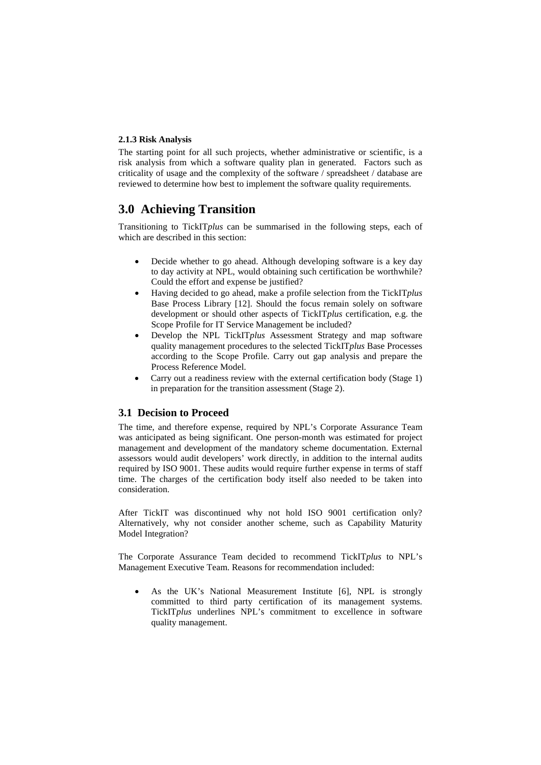#### **2.1.3 Risk Analysis**

The starting point for all such projects, whether administrative or scientific, is a risk analysis from which a software quality plan in generated. Factors such as criticality of usage and the complexity of the software / spreadsheet / database are reviewed to determine how best to implement the software quality requirements.

## **3.0 Achieving Transition**

Transitioning to TickIT*plus* can be summarised in the following steps, each of which are described in this section:

- Decide whether to go ahead. Although developing software is a key day to day activity at NPL, would obtaining such certification be worthwhile? Could the effort and expense be justified?
- Having decided to go ahead, make a profile selection from the TickIT*plus* Base Process Library [12]. Should the focus remain solely on software development or should other aspects of TickIT*plus* certification, e.g. the Scope Profile for IT Service Management be included?
- Develop the NPL TickIT*plus* Assessment Strategy and map software quality management procedures to the selected TickIT*plus* Base Processes according to the Scope Profile. Carry out gap analysis and prepare the Process Reference Model.
- Carry out a readiness review with the external certification body (Stage 1) in preparation for the transition assessment (Stage 2).

#### **3.1 Decision to Proceed**

The time, and therefore expense, required by NPL's Corporate Assurance Team was anticipated as being significant. One person-month was estimated for project management and development of the mandatory scheme documentation. External assessors would audit developers' work directly, in addition to the internal audits required by ISO 9001. These audits would require further expense in terms of staff time. The charges of the certification body itself also needed to be taken into consideration.

After TickIT was discontinued why not hold ISO 9001 certification only? Alternatively, why not consider another scheme, such as Capability Maturity Model Integration?

The Corporate Assurance Team decided to recommend TickIT*plus* to NPL's Management Executive Team. Reasons for recommendation included:

As the UK's National Measurement Institute [6], NPL is strongly committed to third party certification of its management systems. TickIT*plus* underlines NPL's commitment to excellence in software quality management.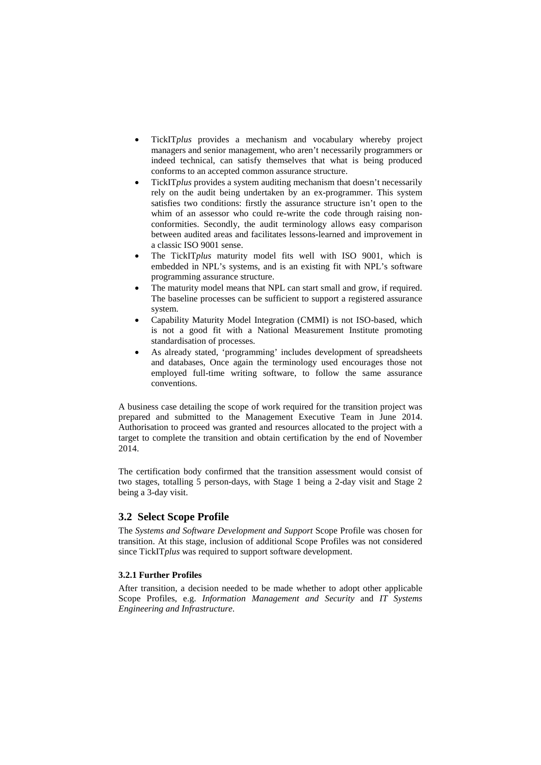- TickIT*plus* provides a mechanism and vocabulary whereby project managers and senior management, who aren't necessarily programmers or indeed technical, can satisfy themselves that what is being produced conforms to an accepted common assurance structure.
- TickIT*plus* provides a system auditing mechanism that doesn't necessarily rely on the audit being undertaken by an ex-programmer. This system satisfies two conditions: firstly the assurance structure isn't open to the whim of an assessor who could re-write the code through raising nonconformities. Secondly, the audit terminology allows easy comparison between audited areas and facilitates lessons-learned and improvement in a classic ISO 9001 sense.
- The TickIT*plus* maturity model fits well with ISO 9001, which is embedded in NPL's systems, and is an existing fit with NPL's software programming assurance structure.
- The maturity model means that NPL can start small and grow, if required. The baseline processes can be sufficient to support a registered assurance system.
- Capability Maturity Model Integration (CMMI) is not ISO-based, which is not a good fit with a National Measurement Institute promoting standardisation of processes.
- As already stated, 'programming' includes development of spreadsheets and databases, Once again the terminology used encourages those not employed full-time writing software, to follow the same assurance conventions.

A business case detailing the scope of work required for the transition project was prepared and submitted to the Management Executive Team in June 2014. Authorisation to proceed was granted and resources allocated to the project with a target to complete the transition and obtain certification by the end of November 2014.

The certification body confirmed that the transition assessment would consist of two stages, totalling 5 person-days, with Stage 1 being a 2-day visit and Stage 2 being a 3-day visit.

#### **3.2 Select Scope Profile**

The *Systems and Software Development and Support* Scope Profile was chosen for transition. At this stage, inclusion of additional Scope Profiles was not considered since TickIT*plus* was required to support software development.

#### **3.2.1 Further Profiles**

After transition, a decision needed to be made whether to adopt other applicable Scope Profiles, e.g. *Information Management and Security* and *IT Systems Engineering and Infrastructure*.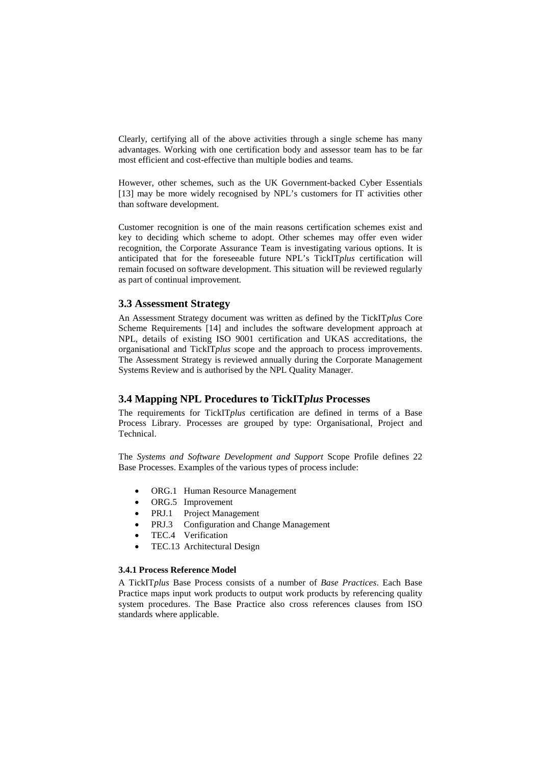Clearly, certifying all of the above activities through a single scheme has many advantages. Working with one certification body and assessor team has to be far most efficient and cost-effective than multiple bodies and teams.

However, other schemes, such as the UK Government-backed Cyber Essentials [13] may be more widely recognised by NPL's customers for IT activities other than software development.

Customer recognition is one of the main reasons certification schemes exist and key to deciding which scheme to adopt. Other schemes may offer even wider recognition, the Corporate Assurance Team is investigating various options. It is anticipated that for the foreseeable future NPL's TickIT*plus* certification will remain focused on software development. This situation will be reviewed regularly as part of continual improvement.

#### **3.3 Assessment Strategy**

An Assessment Strategy document was written as defined by the TickIT*plus* Core Scheme Requirements [14] and includes the software development approach at NPL, details of existing ISO 9001 certification and UKAS accreditations, the organisational and TickIT*plus* scope and the approach to process improvements. The Assessment Strategy is reviewed annually during the Corporate Management Systems Review and is authorised by the NPL Quality Manager.

#### **3.4 Mapping NPL Procedures to TickIT***plus* **Processes**

The requirements for TickIT*plus* certification are defined in terms of a Base Process Library. Processes are grouped by type: Organisational, Project and Technical.

The *Systems and Software Development and Support* Scope Profile defines 22 Base Processes. Examples of the various types of process include:

- ORG.1 Human Resource Management
- ORG.5 Improvement
- PRJ.1 Project Management
- PRJ.3 Configuration and Change Management
- TEC.4 Verification
- TEC.13 Architectural Design

#### **3.4.1 Process Reference Model**

A TickIT*plus* Base Process consists of a number of *Base Practices*. Each Base Practice maps input work products to output work products by referencing quality system procedures. The Base Practice also cross references clauses from ISO standards where applicable.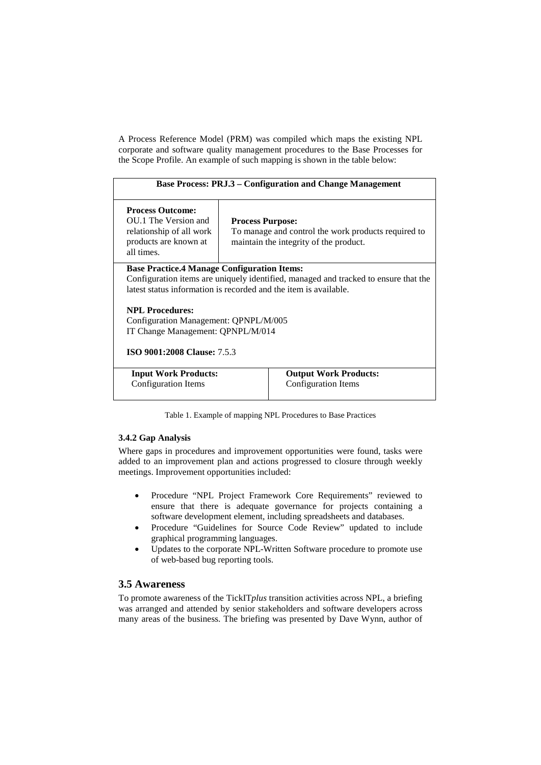A Process Reference Model (PRM) was compiled which maps the existing NPL corporate and software quality management procedures to the Base Processes for the Scope Profile. An example of such mapping is shown in the table below:

| <b>Base Process: PRJ.3 – Configuration and Change Management</b>                                                                                                                                              |                                                                                                                          |  |  |
|---------------------------------------------------------------------------------------------------------------------------------------------------------------------------------------------------------------|--------------------------------------------------------------------------------------------------------------------------|--|--|
| <b>Process Outcome:</b><br>OU.1 The Version and<br>relationship of all work<br>products are known at<br>all times.                                                                                            | <b>Process Purpose:</b><br>To manage and control the work products required to<br>maintain the integrity of the product. |  |  |
| <b>Base Practice.4 Manage Configuration Items:</b><br>Configuration items are uniquely identified, managed and tracked to ensure that the<br>latest status information is recorded and the item is available. |                                                                                                                          |  |  |
| <b>NPL Procedures:</b><br>Configuration Management: QPNPL/M/005<br>IT Change Management: QPNPL/M/014                                                                                                          |                                                                                                                          |  |  |
| <b>ISO 9001:2008 Clause: 7.5.3</b>                                                                                                                                                                            |                                                                                                                          |  |  |
| <b>Input Work Products:</b><br>Configuration Items                                                                                                                                                            | <b>Output Work Products:</b><br>Configuration Items                                                                      |  |  |

Table 1. Example of mapping NPL Procedures to Base Practices

#### **3.4.2 Gap Analysis**

Where gaps in procedures and improvement opportunities were found, tasks were added to an improvement plan and actions progressed to closure through weekly meetings. Improvement opportunities included:

- Procedure "NPL Project Framework Core Requirements" reviewed to ensure that there is adequate governance for projects containing a software development element, including spreadsheets and databases.
- Procedure "Guidelines for Source Code Review" updated to include graphical programming languages.
- Updates to the corporate NPL-Written Software procedure to promote use of web-based bug reporting tools.

#### **3.5 Awareness**

To promote awareness of the TickIT*plus* transition activities across NPL, a briefing was arranged and attended by senior stakeholders and software developers across many areas of the business. The briefing was presented by Dave Wynn, author of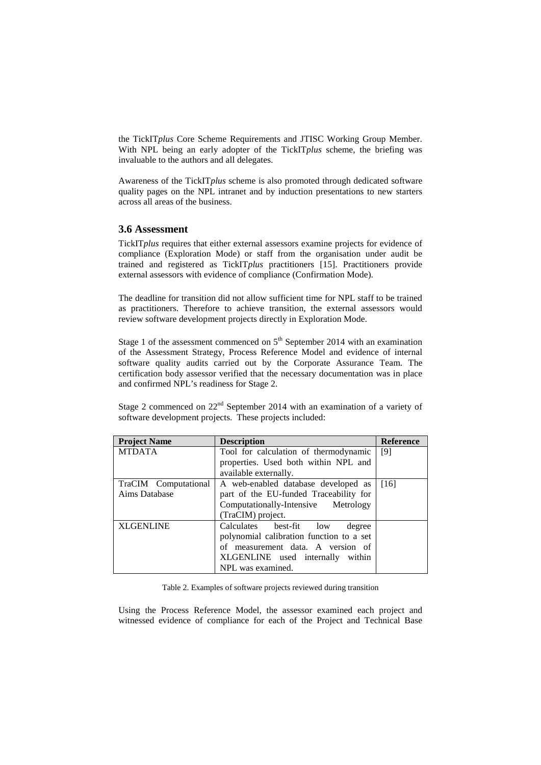the TickIT*plus* Core Scheme Requirements and JTISC Working Group Member. With NPL being an early adopter of the TickIT*plus* scheme, the briefing was invaluable to the authors and all delegates.

Awareness of the TickIT*plus* scheme is also promoted through dedicated software quality pages on the NPL intranet and by induction presentations to new starters across all areas of the business.

#### **3.6 Assessment**

TickIT*plus* requires that either external assessors examine projects for evidence of compliance (Exploration Mode) or staff from the organisation under audit be trained and registered as TickIT*plus* practitioners [15]. Practitioners provide external assessors with evidence of compliance (Confirmation Mode).

The deadline for transition did not allow sufficient time for NPL staff to be trained as practitioners. Therefore to achieve transition, the external assessors would review software development projects directly in Exploration Mode.

Stage 1 of the assessment commenced on  $5<sup>th</sup>$  September 2014 with an examination of the Assessment Strategy, Process Reference Model and evidence of internal software quality audits carried out by the Corporate Assurance Team. The certification body assessor verified that the necessary documentation was in place and confirmed NPL's readiness for Stage 2.

Stage 2 commenced on  $22<sup>nd</sup>$  September 2014 with an examination of a variety of software development projects. These projects included:

| <b>Project Name</b>  | <b>Description</b>                       | <b>Reference</b> |
|----------------------|------------------------------------------|------------------|
| <b>MTDATA</b>        | Tool for calculation of thermodynamic    | [9]              |
|                      | properties. Used both within NPL and     |                  |
|                      | available externally.                    |                  |
| TraCIM Computational | A web-enabled database developed as      | [16]             |
| Aims Database        | part of the EU-funded Traceability for   |                  |
|                      | Computationally-Intensive Metrology      |                  |
|                      | (TraCIM) project.                        |                  |
| <b>XLGENLINE</b>     | Calculates best-fit low<br>degree        |                  |
|                      | polynomial calibration function to a set |                  |
|                      | of measurement data. A version of        |                  |
|                      | XLGENLINE used internally within         |                  |
|                      | NPL was examined.                        |                  |

Table 2. Examples of software projects reviewed during transition

Using the Process Reference Model, the assessor examined each project and witnessed evidence of compliance for each of the Project and Technical Base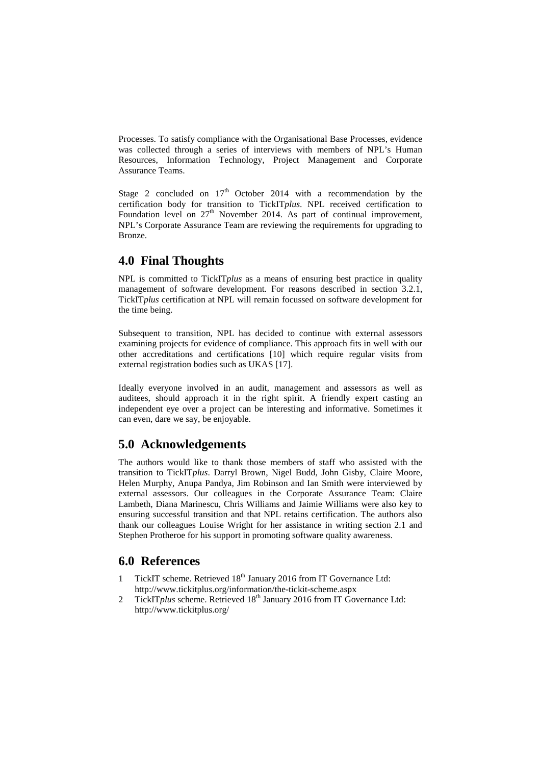Processes. To satisfy compliance with the Organisational Base Processes, evidence was collected through a series of interviews with members of NPL's Human Resources, Information Technology, Project Management and Corporate Assurance Teams.

Stage 2 concluded on  $17<sup>th</sup>$  October 2014 with a recommendation by the certification body for transition to TickIT*plus*. NPL received certification to Foundation level on  $27<sup>th</sup>$  November 2014. As part of continual improvement, NPL's Corporate Assurance Team are reviewing the requirements for upgrading to Bronze.

### **4.0 Final Thoughts**

NPL is committed to TickIT*plus* as a means of ensuring best practice in quality management of software development. For reasons described in section 3.2.1, TickIT*plus* certification at NPL will remain focussed on software development for the time being.

Subsequent to transition, NPL has decided to continue with external assessors examining projects for evidence of compliance. This approach fits in well with our other accreditations and certifications [10] which require regular visits from external registration bodies such as UKAS [17].

Ideally everyone involved in an audit, management and assessors as well as auditees, should approach it in the right spirit. A friendly expert casting an independent eye over a project can be interesting and informative. Sometimes it can even, dare we say, be enjoyable.

### **5.0 Acknowledgements**

The authors would like to thank those members of staff who assisted with the transition to TickIT*plus*. Darryl Brown, Nigel Budd, John Gisby, Claire Moore, Helen Murphy, Anupa Pandya, Jim Robinson and Ian Smith were interviewed by external assessors. Our colleagues in the Corporate Assurance Team: Claire Lambeth, Diana Marinescu, Chris Williams and Jaimie Williams were also key to ensuring successful transition and that NPL retains certification. The authors also thank our colleagues Louise Wright for her assistance in writing section 2.1 and Stephen Protheroe for his support in promoting software quality awareness.

### **6.0 References**

- 1 TickIT scheme. Retrieved 18<sup>th</sup> January 2016 from IT Governance Ltd: http://www.tickitplus.org/information/the-tickit-scheme.aspx
- 2 TickIT*plus* scheme. Retrieved 18<sup>th</sup> January 2016 from IT Governance Ltd: http://www.tickitplus.org/